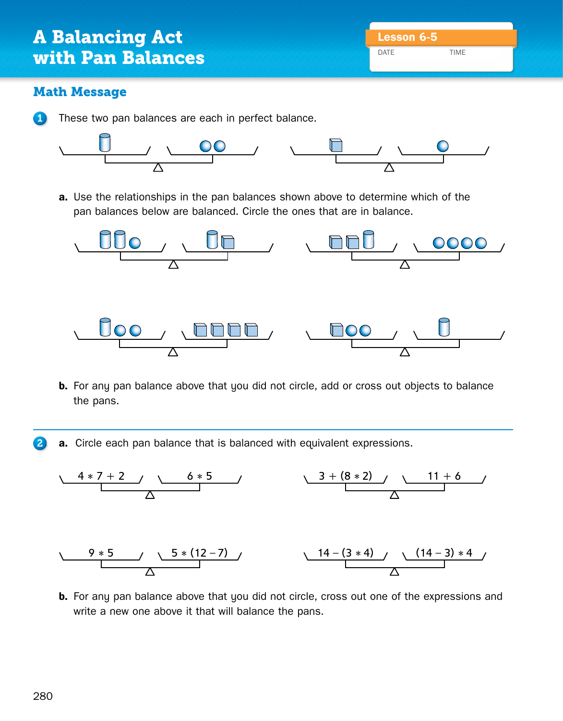## Math Message

1 These two pan balances are each in perfect balance.



pan balances below are balanced. Circle the ones that are in balance. **a.** Use the relationships in the pan balances shown above to determine which of the



**b.** For any pan balance above that you did not circle, add or cross out objects to balance the pans.

2 **a.** Circle each pan balance that is balanced with equivalent expressions.



write a new one above it that will balance the pans. **b.** For any pan balance above that you did not circle, cross out one of the expressions and